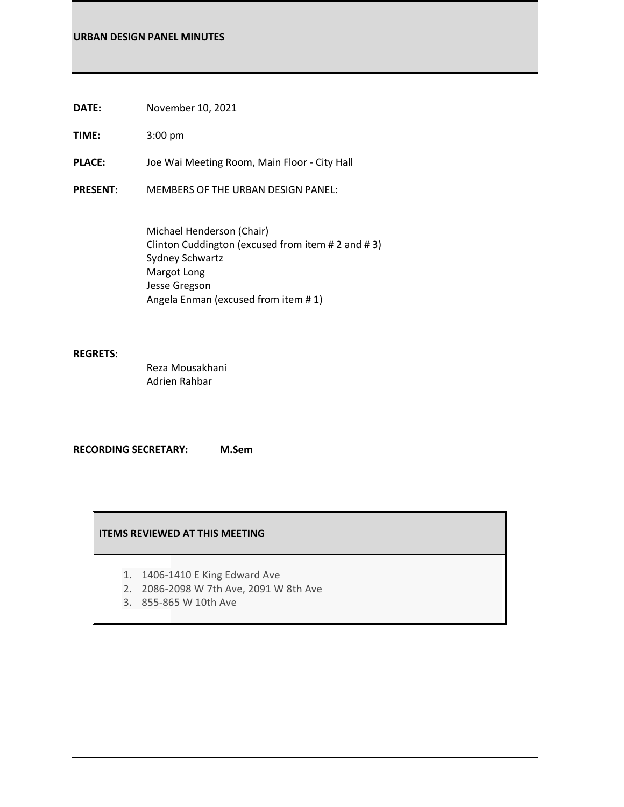### **URBAN DESIGN PANEL MINUTES**

**DATE:** November 10, 2021

**TIME:** 3:00 pm

**PLACE:** Joe Wai Meeting Room, Main Floor - City Hall

**PRESENT:** MEMBERS OF THE URBAN DESIGN PANEL:

Michael Henderson (Chair) Clinton Cuddington (excused from item # 2 and # 3) Sydney Schwartz Margot Long Jesse Gregson Angela Enman (excused from item # 1)

### **REGRETS:**

Reza Mousakhani Adrien Rahbar

**RECORDING SECRETARY: M.Sem**

### **ITEMS REVIEWED AT THIS MEETING**

- 1. 1406-1410 E King Edward Ave
- 2. 2086-2098 W 7th Ave, 2091 W 8th Ave
- 3. 855-865 W 10th Ave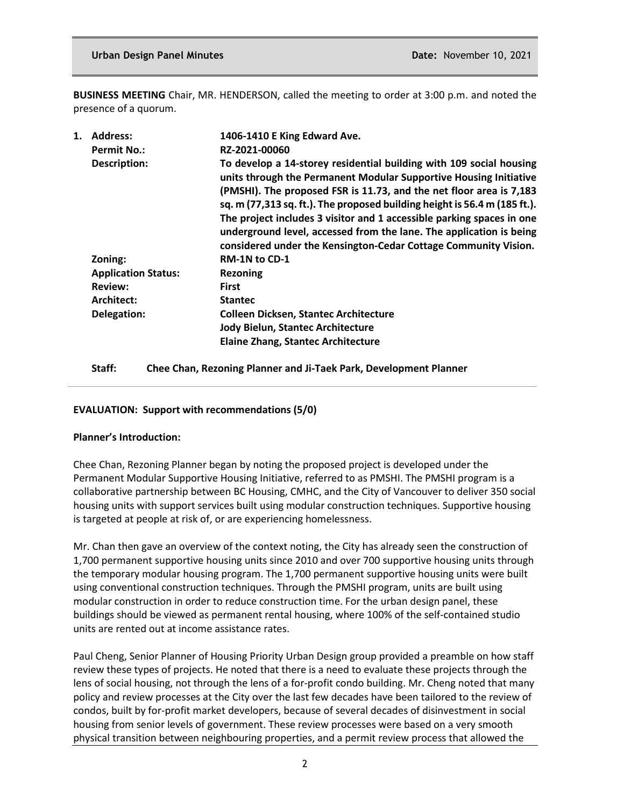**BUSINESS MEETING** Chair, MR. HENDERSON, called the meeting to order at 3:00 p.m. and noted the presence of a quorum.

| 1. | <b>Address:</b>            | 1406-1410 E King Edward Ave.                                                                                                                                                                                                                                                                                                                                                                                                                                                                                    |
|----|----------------------------|-----------------------------------------------------------------------------------------------------------------------------------------------------------------------------------------------------------------------------------------------------------------------------------------------------------------------------------------------------------------------------------------------------------------------------------------------------------------------------------------------------------------|
|    | <b>Permit No.:</b>         | RZ-2021-00060                                                                                                                                                                                                                                                                                                                                                                                                                                                                                                   |
|    | Description:               | To develop a 14-storey residential building with 109 social housing<br>units through the Permanent Modular Supportive Housing Initiative<br>(PMSHI). The proposed FSR is 11.73, and the net floor area is 7,183<br>sq. m (77,313 sq. ft.). The proposed building height is 56.4 m (185 ft.).<br>The project includes 3 visitor and 1 accessible parking spaces in one<br>underground level, accessed from the lane. The application is being<br>considered under the Kensington-Cedar Cottage Community Vision. |
|    | Zoning:                    | <b>RM-1N to CD-1</b>                                                                                                                                                                                                                                                                                                                                                                                                                                                                                            |
|    | <b>Application Status:</b> | <b>Rezoning</b>                                                                                                                                                                                                                                                                                                                                                                                                                                                                                                 |
|    | <b>Review:</b>             | <b>First</b>                                                                                                                                                                                                                                                                                                                                                                                                                                                                                                    |
|    | Architect:                 | <b>Stantec</b>                                                                                                                                                                                                                                                                                                                                                                                                                                                                                                  |
|    | Delegation:                | <b>Colleen Dicksen, Stantec Architecture</b>                                                                                                                                                                                                                                                                                                                                                                                                                                                                    |
|    |                            | Jody Bielun, Stantec Architecture                                                                                                                                                                                                                                                                                                                                                                                                                                                                               |
|    |                            | <b>Elaine Zhang, Stantec Architecture</b>                                                                                                                                                                                                                                                                                                                                                                                                                                                                       |
|    |                            |                                                                                                                                                                                                                                                                                                                                                                                                                                                                                                                 |

**Staff: Chee Chan, Rezoning Planner and Ji-Taek Park, Development Planner**

## **EVALUATION: Support with recommendations (5/0)**

## **Planner's Introduction:**

Chee Chan, Rezoning Planner began by noting the proposed project is developed under the Permanent Modular Supportive Housing Initiative, referred to as PMSHI. The PMSHI program is a collaborative partnership between BC Housing, CMHC, and the City of Vancouver to deliver 350 social housing units with support services built using modular construction techniques. Supportive housing is targeted at people at risk of, or are experiencing homelessness.

Mr. Chan then gave an overview of the context noting, the City has already seen the construction of 1,700 permanent supportive housing units since 2010 and over 700 supportive housing units through the temporary modular housing program. The 1,700 permanent supportive housing units were built using conventional construction techniques. Through the PMSHI program, units are built using modular construction in order to reduce construction time. For the urban design panel, these buildings should be viewed as permanent rental housing, where 100% of the self-contained studio units are rented out at income assistance rates.

Paul Cheng, Senior Planner of Housing Priority Urban Design group provided a preamble on how staff review these types of projects. He noted that there is a need to evaluate these projects through the lens of social housing, not through the lens of a for-profit condo building. Mr. Cheng noted that many policy and review processes at the City over the last few decades have been tailored to the review of condos, built by for-profit market developers, because of several decades of disinvestment in social housing from senior levels of government. These review processes were based on a very smooth physical transition between neighbouring properties, and a permit review process that allowed the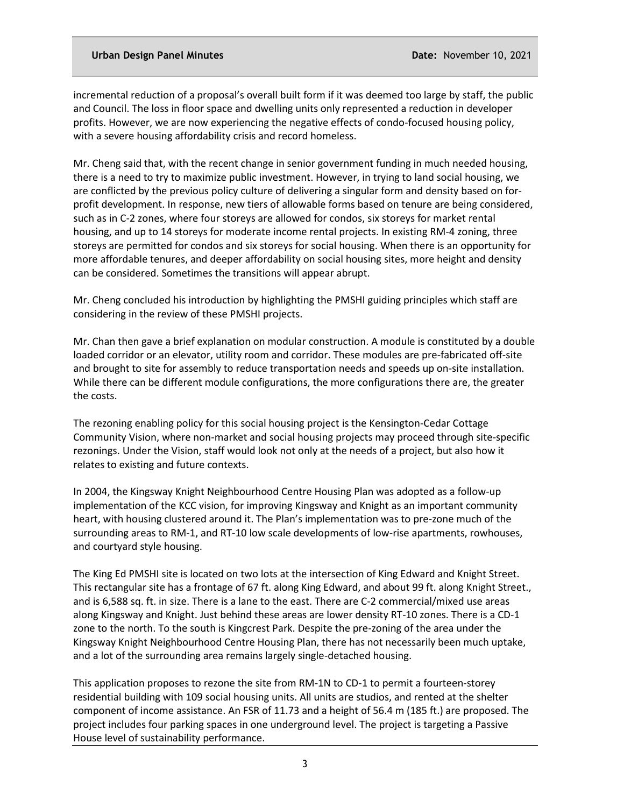incremental reduction of a proposal's overall built form if it was deemed too large by staff, the public and Council. The loss in floor space and dwelling units only represented a reduction in developer profits. However, we are now experiencing the negative effects of condo-focused housing policy, with a severe housing affordability crisis and record homeless.

Mr. Cheng said that, with the recent change in senior government funding in much needed housing, there is a need to try to maximize public investment. However, in trying to land social housing, we are conflicted by the previous policy culture of delivering a singular form and density based on forprofit development. In response, new tiers of allowable forms based on tenure are being considered, such as in C-2 zones, where four storeys are allowed for condos, six storeys for market rental housing, and up to 14 storeys for moderate income rental projects. In existing RM-4 zoning, three storeys are permitted for condos and six storeys for social housing. When there is an opportunity for more affordable tenures, and deeper affordability on social housing sites, more height and density can be considered. Sometimes the transitions will appear abrupt.

Mr. Cheng concluded his introduction by highlighting the PMSHI guiding principles which staff are considering in the review of these PMSHI projects.

Mr. Chan then gave a brief explanation on modular construction. A module is constituted by a double loaded corridor or an elevator, utility room and corridor. These modules are pre-fabricated off-site and brought to site for assembly to reduce transportation needs and speeds up on-site installation. While there can be different module configurations, the more configurations there are, the greater the costs.

The rezoning enabling policy for this social housing project is the Kensington-Cedar Cottage Community Vision, where non-market and social housing projects may proceed through site-specific rezonings. Under the Vision, staff would look not only at the needs of a project, but also how it relates to existing and future contexts.

In 2004, the Kingsway Knight Neighbourhood Centre Housing Plan was adopted as a follow-up implementation of the KCC vision, for improving Kingsway and Knight as an important community heart, with housing clustered around it. The Plan's implementation was to pre-zone much of the surrounding areas to RM-1, and RT-10 low scale developments of low-rise apartments, rowhouses, and courtyard style housing.

The King Ed PMSHI site is located on two lots at the intersection of King Edward and Knight Street. This rectangular site has a frontage of 67 ft. along King Edward, and about 99 ft. along Knight Street., and is 6,588 sq. ft. in size. There is a lane to the east. There are C-2 commercial/mixed use areas along Kingsway and Knight. Just behind these areas are lower density RT-10 zones. There is a CD-1 zone to the north. To the south is Kingcrest Park. Despite the pre-zoning of the area under the Kingsway Knight Neighbourhood Centre Housing Plan, there has not necessarily been much uptake, and a lot of the surrounding area remains largely single-detached housing.

This application proposes to rezone the site from RM-1N to CD-1 to permit a fourteen-storey residential building with 109 social housing units. All units are studios, and rented at the shelter component of income assistance. An FSR of 11.73 and a height of 56.4 m (185 ft.) are proposed. The project includes four parking spaces in one underground level. The project is targeting a Passive House level of sustainability performance.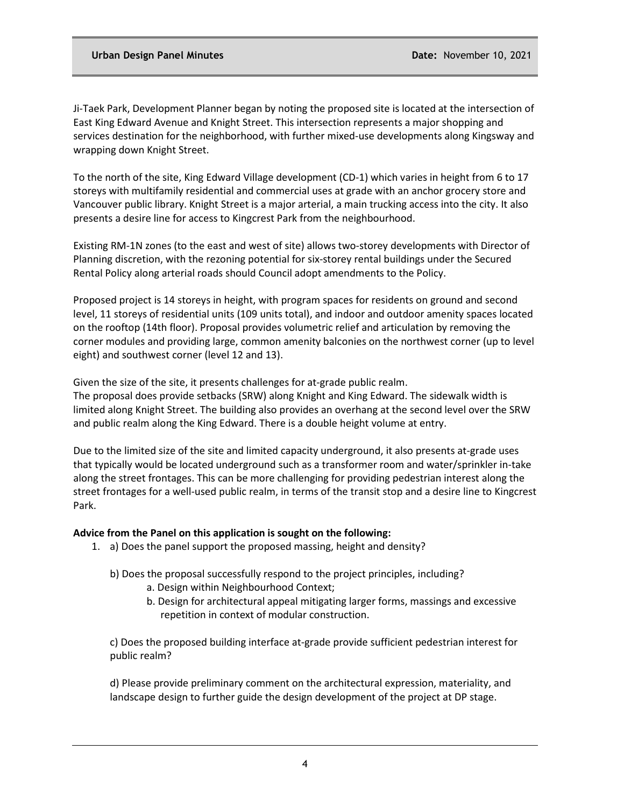Ji-Taek Park, Development Planner began by noting the proposed site is located at the intersection of East King Edward Avenue and Knight Street. This intersection represents a major shopping and services destination for the neighborhood, with further mixed-use developments along Kingsway and wrapping down Knight Street.

To the north of the site, King Edward Village development (CD-1) which varies in height from 6 to 17 storeys with multifamily residential and commercial uses at grade with an anchor grocery store and Vancouver public library. Knight Street is a major arterial, a main trucking access into the city. It also presents a desire line for access to Kingcrest Park from the neighbourhood.

Existing RM-1N zones (to the east and west of site) allows two-storey developments with Director of Planning discretion, with the rezoning potential for six-storey rental buildings under the Secured Rental Policy along arterial roads should Council adopt amendments to the Policy.

Proposed project is 14 storeys in height, with program spaces for residents on ground and second level, 11 storeys of residential units (109 units total), and indoor and outdoor amenity spaces located on the rooftop (14th floor). Proposal provides volumetric relief and articulation by removing the corner modules and providing large, common amenity balconies on the northwest corner (up to level eight) and southwest corner (level 12 and 13).

Given the size of the site, it presents challenges for at-grade public realm.

The proposal does provide setbacks (SRW) along Knight and King Edward. The sidewalk width is limited along Knight Street. The building also provides an overhang at the second level over the SRW and public realm along the King Edward. There is a double height volume at entry.

Due to the limited size of the site and limited capacity underground, it also presents at-grade uses that typically would be located underground such as a transformer room and water/sprinkler in-take along the street frontages. This can be more challenging for providing pedestrian interest along the street frontages for a well-used public realm, in terms of the transit stop and a desire line to Kingcrest Park.

#### **Advice from the Panel on this application is sought on the following:**

- 1. a) Does the panel support the proposed massing, height and density?
	- b) Does the proposal successfully respond to the project principles, including?
		- a. Design within Neighbourhood Context;
		- b. Design for architectural appeal mitigating larger forms, massings and excessive repetition in context of modular construction.

c) Does the proposed building interface at-grade provide sufficient pedestrian interest for public realm?

d) Please provide preliminary comment on the architectural expression, materiality, and landscape design to further guide the design development of the project at DP stage.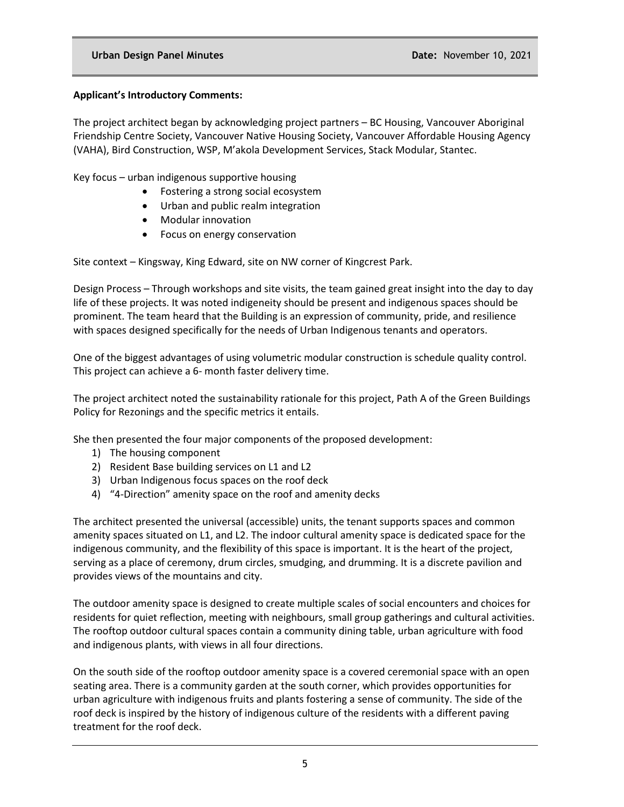## **Applicant's Introductory Comments:**

The project architect began by acknowledging project partners – BC Housing, Vancouver Aboriginal Friendship Centre Society, Vancouver Native Housing Society, Vancouver Affordable Housing Agency (VAHA), Bird Construction, WSP, M'akola Development Services, Stack Modular, Stantec.

Key focus – urban indigenous supportive housing

- Fostering a strong social ecosystem
- Urban and public realm integration
- Modular innovation
- Focus on energy conservation

Site context – Kingsway, King Edward, site on NW corner of Kingcrest Park.

Design Process – Through workshops and site visits, the team gained great insight into the day to day life of these projects. It was noted indigeneity should be present and indigenous spaces should be prominent. The team heard that the Building is an expression of community, pride, and resilience with spaces designed specifically for the needs of Urban Indigenous tenants and operators.

One of the biggest advantages of using volumetric modular construction is schedule quality control. This project can achieve a 6- month faster delivery time.

The project architect noted the sustainability rationale for this project, Path A of the Green Buildings Policy for Rezonings and the specific metrics it entails.

She then presented the four major components of the proposed development:

- 1) The housing component
- 2) Resident Base building services on L1 and L2
- 3) Urban Indigenous focus spaces on the roof deck
- 4) "4-Direction" amenity space on the roof and amenity decks

The architect presented the universal (accessible) units, the tenant supports spaces and common amenity spaces situated on L1, and L2. The indoor cultural amenity space is dedicated space for the indigenous community, and the flexibility of this space is important. It is the heart of the project, serving as a place of ceremony, drum circles, smudging, and drumming. It is a discrete pavilion and provides views of the mountains and city.

The outdoor amenity space is designed to create multiple scales of social encounters and choices for residents for quiet reflection, meeting with neighbours, small group gatherings and cultural activities. The rooftop outdoor cultural spaces contain a community dining table, urban agriculture with food and indigenous plants, with views in all four directions.

On the south side of the rooftop outdoor amenity space is a covered ceremonial space with an open seating area. There is a community garden at the south corner, which provides opportunities for urban agriculture with indigenous fruits and plants fostering a sense of community. The side of the roof deck is inspired by the history of indigenous culture of the residents with a different paving treatment for the roof deck.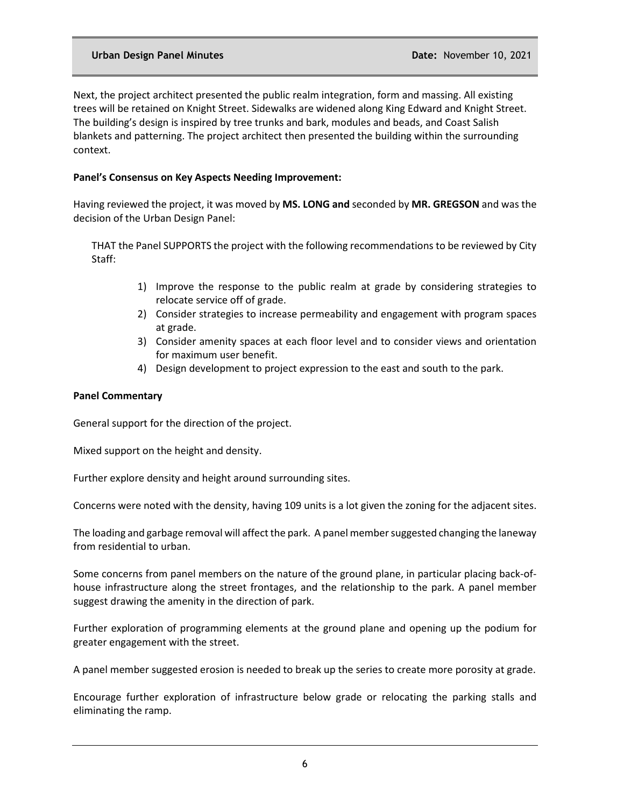Next, the project architect presented the public realm integration, form and massing. All existing trees will be retained on Knight Street. Sidewalks are widened along King Edward and Knight Street. The building's design is inspired by tree trunks and bark, modules and beads, and Coast Salish blankets and patterning. The project architect then presented the building within the surrounding context.

## **Panel's Consensus on Key Aspects Needing Improvement:**

Having reviewed the project, it was moved by **MS. LONG and** seconded by **MR. GREGSON** and was the decision of the Urban Design Panel:

THAT the Panel SUPPORTS the project with the following recommendations to be reviewed by City Staff:

- 1) Improve the response to the public realm at grade by considering strategies to relocate service off of grade.
- 2) Consider strategies to increase permeability and engagement with program spaces at grade.
- 3) Consider amenity spaces at each floor level and to consider views and orientation for maximum user benefit.
- 4) Design development to project expression to the east and south to the park.

## **Panel Commentary**

General support for the direction of the project.

Mixed support on the height and density.

Further explore density and height around surrounding sites.

Concerns were noted with the density, having 109 units is a lot given the zoning for the adjacent sites.

The loading and garbage removal will affect the park. A panel member suggested changing the laneway from residential to urban.

Some concerns from panel members on the nature of the ground plane, in particular placing back-ofhouse infrastructure along the street frontages, and the relationship to the park. A panel member suggest drawing the amenity in the direction of park.

Further exploration of programming elements at the ground plane and opening up the podium for greater engagement with the street.

A panel member suggested erosion is needed to break up the series to create more porosity at grade.

Encourage further exploration of infrastructure below grade or relocating the parking stalls and eliminating the ramp.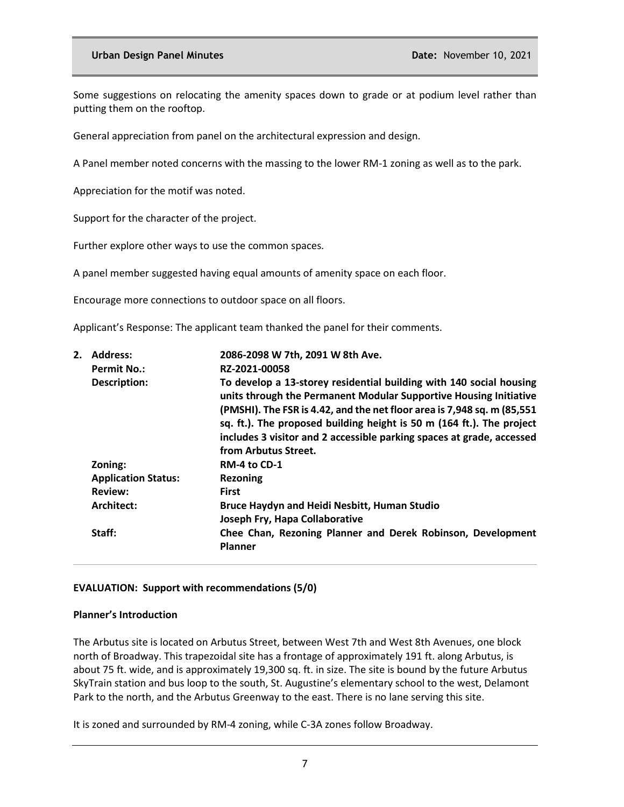Some suggestions on relocating the amenity spaces down to grade or at podium level rather than putting them on the rooftop.

General appreciation from panel on the architectural expression and design.

A Panel member noted concerns with the massing to the lower RM-1 zoning as well as to the park.

Appreciation for the motif was noted.

Support for the character of the project.

Further explore other ways to use the common spaces.

A panel member suggested having equal amounts of amenity space on each floor.

Encourage more connections to outdoor space on all floors.

Applicant's Response: The applicant team thanked the panel for their comments.

| <b>Address:</b><br><b>Permit No.:</b> | 2086-2098 W 7th, 2091 W 8th Ave.<br>RZ-2021-00058                                                                                                                                                                                                                                                                                                                                             |
|---------------------------------------|-----------------------------------------------------------------------------------------------------------------------------------------------------------------------------------------------------------------------------------------------------------------------------------------------------------------------------------------------------------------------------------------------|
| Description:                          | To develop a 13-storey residential building with 140 social housing<br>units through the Permanent Modular Supportive Housing Initiative<br>(PMSHI). The FSR is 4.42, and the net floor area is 7,948 sq. m (85,551<br>sq. ft.). The proposed building height is 50 m (164 ft.). The project<br>includes 3 visitor and 2 accessible parking spaces at grade, accessed<br>from Arbutus Street. |
| Zoning:                               | RM-4 to CD-1                                                                                                                                                                                                                                                                                                                                                                                  |
| <b>Application Status:</b>            | Rezoning                                                                                                                                                                                                                                                                                                                                                                                      |
| <b>Review:</b>                        | <b>First</b>                                                                                                                                                                                                                                                                                                                                                                                  |
| Architect:                            | <b>Bruce Haydyn and Heidi Nesbitt, Human Studio</b><br>Joseph Fry, Hapa Collaborative                                                                                                                                                                                                                                                                                                         |
| Staff:                                | Chee Chan, Rezoning Planner and Derek Robinson, Development<br><b>Planner</b>                                                                                                                                                                                                                                                                                                                 |
|                                       |                                                                                                                                                                                                                                                                                                                                                                                               |

## **EVALUATION: Support with recommendations (5/0)**

## **Planner's Introduction**

The Arbutus site is located on Arbutus Street, between West 7th and West 8th Avenues, one block north of Broadway. This trapezoidal site has a frontage of approximately 191 ft. along Arbutus, is about 75 ft. wide, and is approximately 19,300 sq. ft. in size. The site is bound by the future Arbutus SkyTrain station and bus loop to the south, St. Augustine's elementary school to the west, Delamont Park to the north, and the Arbutus Greenway to the east. There is no lane serving this site.

It is zoned and surrounded by RM-4 zoning, while C-3A zones follow Broadway.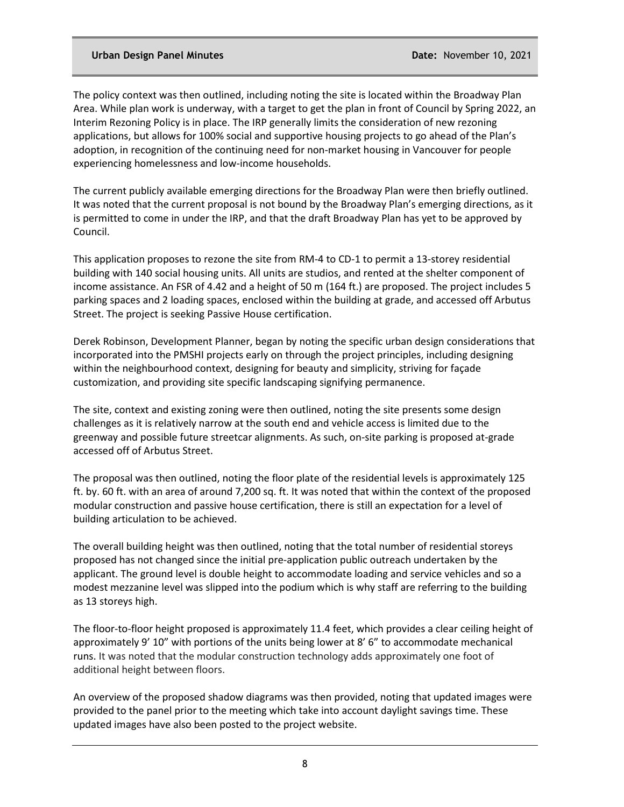The policy context was then outlined, including noting the site is located within the Broadway Plan Area. While plan work is underway, with a target to get the plan in front of Council by Spring 2022, an Interim Rezoning Policy is in place. The IRP generally limits the consideration of new rezoning applications, but allows for 100% social and supportive housing projects to go ahead of the Plan's adoption, in recognition of the continuing need for non-market housing in Vancouver for people experiencing homelessness and low-income households.

The current publicly available emerging directions for the Broadway Plan were then briefly outlined. It was noted that the current proposal is not bound by the Broadway Plan's emerging directions, as it is permitted to come in under the IRP, and that the draft Broadway Plan has yet to be approved by Council.

This application proposes to rezone the site from RM-4 to CD-1 to permit a 13-storey residential building with 140 social housing units. All units are studios, and rented at the shelter component of income assistance. An FSR of 4.42 and a height of 50 m (164 ft.) are proposed. The project includes 5 parking spaces and 2 loading spaces, enclosed within the building at grade, and accessed off Arbutus Street. The project is seeking Passive House certification.

Derek Robinson, Development Planner, began by noting the specific urban design considerations that incorporated into the PMSHI projects early on through the project principles, including designing within the neighbourhood context, designing for beauty and simplicity, striving for façade customization, and providing site specific landscaping signifying permanence.

The site, context and existing zoning were then outlined, noting the site presents some design challenges as it is relatively narrow at the south end and vehicle access is limited due to the greenway and possible future streetcar alignments. As such, on-site parking is proposed at-grade accessed off of Arbutus Street.

The proposal was then outlined, noting the floor plate of the residential levels is approximately 125 ft. by. 60 ft. with an area of around 7,200 sq. ft. It was noted that within the context of the proposed modular construction and passive house certification, there is still an expectation for a level of building articulation to be achieved.

The overall building height was then outlined, noting that the total number of residential storeys proposed has not changed since the initial pre-application public outreach undertaken by the applicant. The ground level is double height to accommodate loading and service vehicles and so a modest mezzanine level was slipped into the podium which is why staff are referring to the building as 13 storeys high.

The floor-to-floor height proposed is approximately 11.4 feet, which provides a clear ceiling height of approximately 9' 10" with portions of the units being lower at 8' 6" to accommodate mechanical runs. It was noted that the modular construction technology adds approximately one foot of additional height between floors.

An overview of the proposed shadow diagrams was then provided, noting that updated images were provided to the panel prior to the meeting which take into account daylight savings time. These updated images have also been posted to the project website.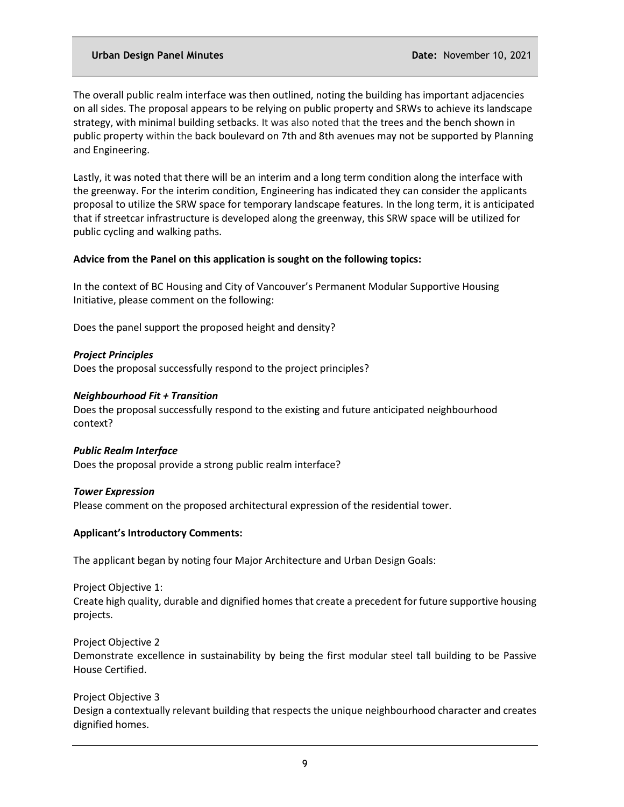The overall public realm interface was then outlined, noting the building has important adjacencies on all sides. The proposal appears to be relying on public property and SRWs to achieve its landscape strategy, with minimal building setbacks. It was also noted that the trees and the bench shown in public property within the back boulevard on 7th and 8th avenues may not be supported by Planning and Engineering.

Lastly, it was noted that there will be an interim and a long term condition along the interface with the greenway. For the interim condition, Engineering has indicated they can consider the applicants proposal to utilize the SRW space for temporary landscape features. In the long term, it is anticipated that if streetcar infrastructure is developed along the greenway, this SRW space will be utilized for public cycling and walking paths.

### **Advice from the Panel on this application is sought on the following topics:**

In the context of BC Housing and City of Vancouver's Permanent Modular Supportive Housing Initiative, please comment on the following:

Does the panel support the proposed height and density?

*Project Principles* Does the proposal successfully respond to the project principles?

### *Neighbourhood Fit + Transition*

Does the proposal successfully respond to the existing and future anticipated neighbourhood context?

#### *Public Realm Interface*

Does the proposal provide a strong public realm interface?

#### *Tower Expression*

Please comment on the proposed architectural expression of the residential tower.

#### **Applicant's Introductory Comments:**

The applicant began by noting four Major Architecture and Urban Design Goals:

Project Objective 1: Create high quality, durable and dignified homes that create a precedent for future supportive housing projects.

Project Objective 2 Demonstrate excellence in sustainability by being the first modular steel tall building to be Passive House Certified.

Project Objective 3 Design a contextually relevant building that respects the unique neighbourhood character and creates dignified homes.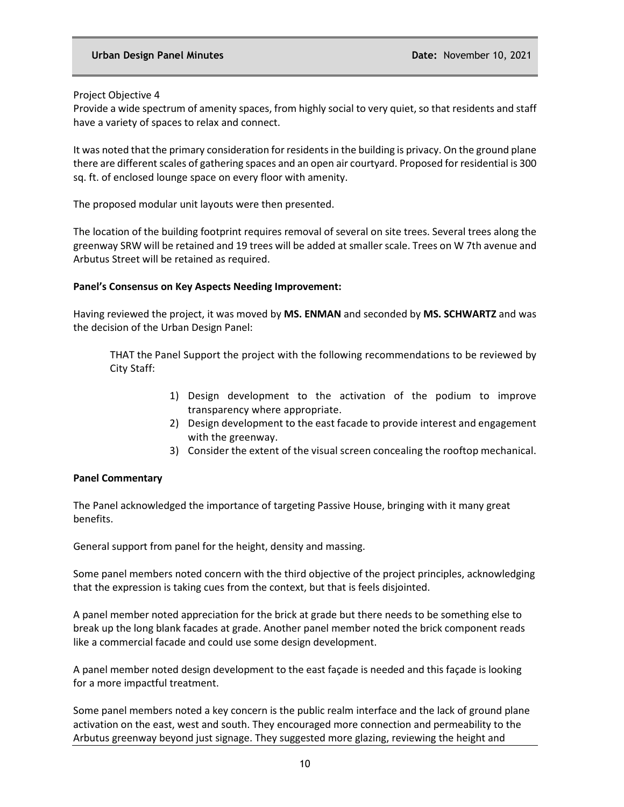Project Objective 4

Provide a wide spectrum of amenity spaces, from highly social to very quiet, so that residents and staff have a variety of spaces to relax and connect.

It was noted that the primary consideration for residents in the building is privacy. On the ground plane there are different scales of gathering spaces and an open air courtyard. Proposed for residential is 300 sq. ft. of enclosed lounge space on every floor with amenity.

The proposed modular unit layouts were then presented.

The location of the building footprint requires removal of several on site trees. Several trees along the greenway SRW will be retained and 19 trees will be added at smaller scale. Trees on W 7th avenue and Arbutus Street will be retained as required.

### **Panel's Consensus on Key Aspects Needing Improvement:**

Having reviewed the project, it was moved by **MS. ENMAN** and seconded by **MS. SCHWARTZ** and was the decision of the Urban Design Panel:

THAT the Panel Support the project with the following recommendations to be reviewed by City Staff:

- 1) Design development to the activation of the podium to improve transparency where appropriate.
- 2) Design development to the east facade to provide interest and engagement with the greenway.
- 3) Consider the extent of the visual screen concealing the rooftop mechanical.

## **Panel Commentary**

The Panel acknowledged the importance of targeting Passive House, bringing with it many great benefits.

General support from panel for the height, density and massing.

Some panel members noted concern with the third objective of the project principles, acknowledging that the expression is taking cues from the context, but that is feels disjointed.

A panel member noted appreciation for the brick at grade but there needs to be something else to break up the long blank facades at grade. Another panel member noted the brick component reads like a commercial facade and could use some design development.

A panel member noted design development to the east façade is needed and this façade is looking for a more impactful treatment.

Some panel members noted a key concern is the public realm interface and the lack of ground plane activation on the east, west and south. They encouraged more connection and permeability to the Arbutus greenway beyond just signage. They suggested more glazing, reviewing the height and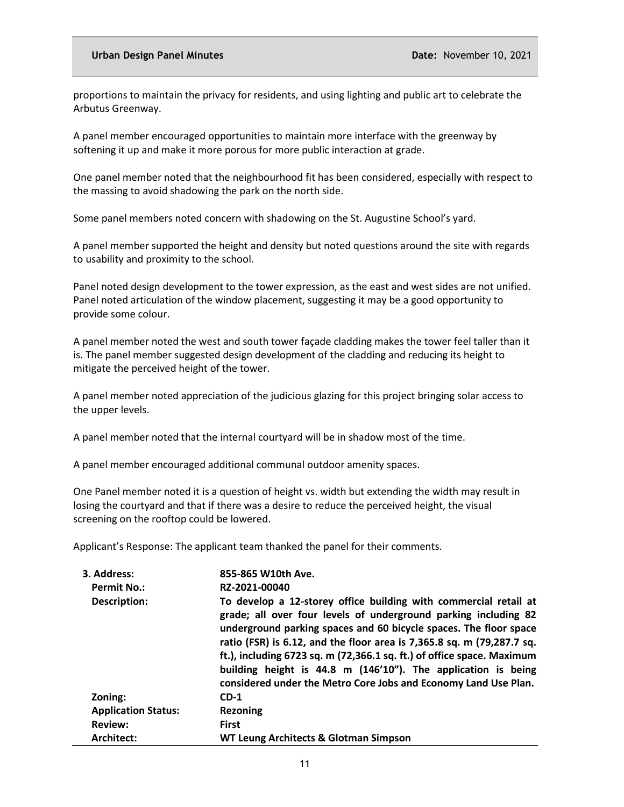proportions to maintain the privacy for residents, and using lighting and public art to celebrate the Arbutus Greenway.

A panel member encouraged opportunities to maintain more interface with the greenway by softening it up and make it more porous for more public interaction at grade.

One panel member noted that the neighbourhood fit has been considered, especially with respect to the massing to avoid shadowing the park on the north side.

Some panel members noted concern with shadowing on the St. Augustine School's yard.

A panel member supported the height and density but noted questions around the site with regards to usability and proximity to the school.

Panel noted design development to the tower expression, as the east and west sides are not unified. Panel noted articulation of the window placement, suggesting it may be a good opportunity to provide some colour.

A panel member noted the west and south tower façade cladding makes the tower feel taller than it is. The panel member suggested design development of the cladding and reducing its height to mitigate the perceived height of the tower.

A panel member noted appreciation of the judicious glazing for this project bringing solar access to the upper levels.

A panel member noted that the internal courtyard will be in shadow most of the time.

A panel member encouraged additional communal outdoor amenity spaces.

One Panel member noted it is a question of height vs. width but extending the width may result in losing the courtyard and that if there was a desire to reduce the perceived height, the visual screening on the rooftop could be lowered.

Applicant's Response: The applicant team thanked the panel for their comments.

| 3. Address:                | 855-865 W10th Ave.                                                                                                                                                                                                                                                                                                                                                                                                                                                                               |
|----------------------------|--------------------------------------------------------------------------------------------------------------------------------------------------------------------------------------------------------------------------------------------------------------------------------------------------------------------------------------------------------------------------------------------------------------------------------------------------------------------------------------------------|
| <b>Permit No.:</b>         | RZ-2021-00040                                                                                                                                                                                                                                                                                                                                                                                                                                                                                    |
| <b>Description:</b>        | To develop a 12-storey office building with commercial retail at<br>grade; all over four levels of underground parking including 82<br>underground parking spaces and 60 bicycle spaces. The floor space<br>ratio (FSR) is 6.12, and the floor area is 7,365.8 sq. m (79,287.7 sq.<br>ft.), including 6723 sq. m (72,366.1 sq. ft.) of office space. Maximum<br>building height is 44.8 m (146'10"). The application is being<br>considered under the Metro Core Jobs and Economy Land Use Plan. |
| Zoning:                    | $CD-1$                                                                                                                                                                                                                                                                                                                                                                                                                                                                                           |
| <b>Application Status:</b> | <b>Rezoning</b>                                                                                                                                                                                                                                                                                                                                                                                                                                                                                  |
| <b>Review:</b>             | <b>First</b>                                                                                                                                                                                                                                                                                                                                                                                                                                                                                     |
| Architect:                 | WT Leung Architects & Glotman Simpson                                                                                                                                                                                                                                                                                                                                                                                                                                                            |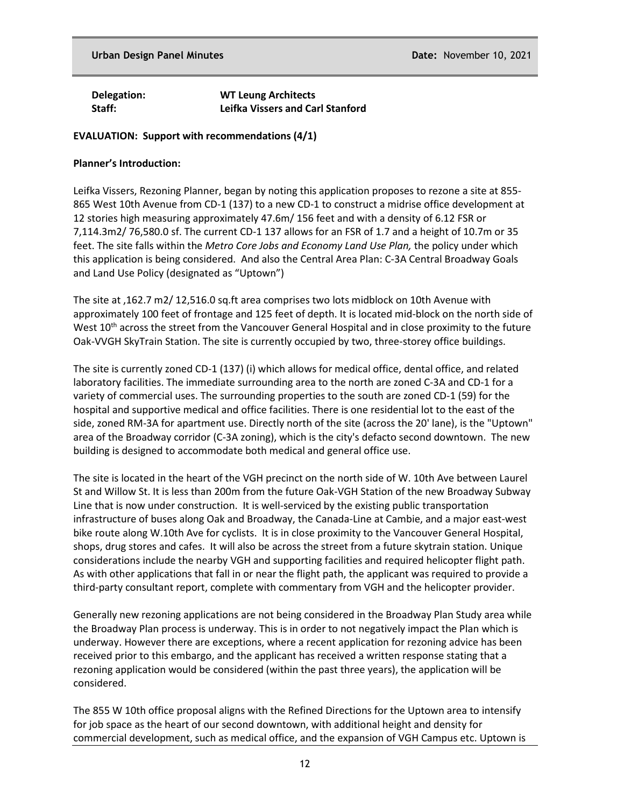**Delegation: WT Leung Architects Staff: Leifka Vissers and Carl Stanford**

### **EVALUATION: Support with recommendations (4/1)**

### **Planner's Introduction:**

Leifka Vissers, Rezoning Planner, began by noting this application proposes to rezone a site at 855- 865 West 10th Avenue from CD-1 (137) to a new CD-1 to construct a midrise office development at 12 stories high measuring approximately 47.6m/ 156 feet and with a density of 6.12 FSR or 7,114.3m2/ 76,580.0 sf. The current CD-1 137 allows for an FSR of 1.7 and a height of 10.7m or 35 feet. The site falls within the *Metro Core Jobs and Economy Land Use Plan,* the policy under which this application is being considered. And also the Central Area Plan: C-3A Central Broadway Goals and Land Use Policy (designated as "Uptown")

The site at ,162.7 m2/ 12,516.0 sq.ft area comprises two lots midblock on 10th Avenue with approximately 100 feet of frontage and 125 feet of depth. It is located mid-block on the north side of West 10<sup>th</sup> across the street from the Vancouver General Hospital and in close proximity to the future Oak-VVGH SkyTrain Station. The site is currently occupied by two, three-storey office buildings.

The site is currently zoned CD-1 (137) (i) which allows for medical office, dental office, and related laboratory facilities. The immediate surrounding area to the north are zoned C-3A and CD-1 for a variety of commercial uses. The surrounding properties to the south are zoned CD-1 (59) for the hospital and supportive medical and office facilities. There is one residential lot to the east of the side, zoned RM-3A for apartment use. Directly north of the site (across the 20' lane), is the "Uptown" area of the Broadway corridor (C-3A zoning), which is the city's defacto second downtown. The new building is designed to accommodate both medical and general office use.

The site is located in the heart of the VGH precinct on the north side of W. 10th Ave between Laurel St and Willow St. It is less than 200m from the future Oak-VGH Station of the new Broadway Subway Line that is now under construction. It is well-serviced by the existing public transportation infrastructure of buses along Oak and Broadway, the Canada-Line at Cambie, and a major east-west bike route along W.10th Ave for cyclists. It is in close proximity to the Vancouver General Hospital, shops, drug stores and cafes. It will also be across the street from a future skytrain station. Unique considerations include the nearby VGH and supporting facilities and required helicopter flight path. As with other applications that fall in or near the flight path, the applicant was required to provide a third-party consultant report, complete with commentary from VGH and the helicopter provider.

Generally new rezoning applications are not being considered in the Broadway Plan Study area while the Broadway Plan process is underway. This is in order to not negatively impact the Plan which is underway. However there are exceptions, where a recent application for rezoning advice has been received prior to this embargo, and the applicant has received a written response stating that a rezoning application would be considered (within the past three years), the application will be considered.

The 855 W 10th office proposal aligns with the Refined Directions for the Uptown area to intensify for job space as the heart of our second downtown, with additional height and density for commercial development, such as medical office, and the expansion of VGH Campus etc. Uptown is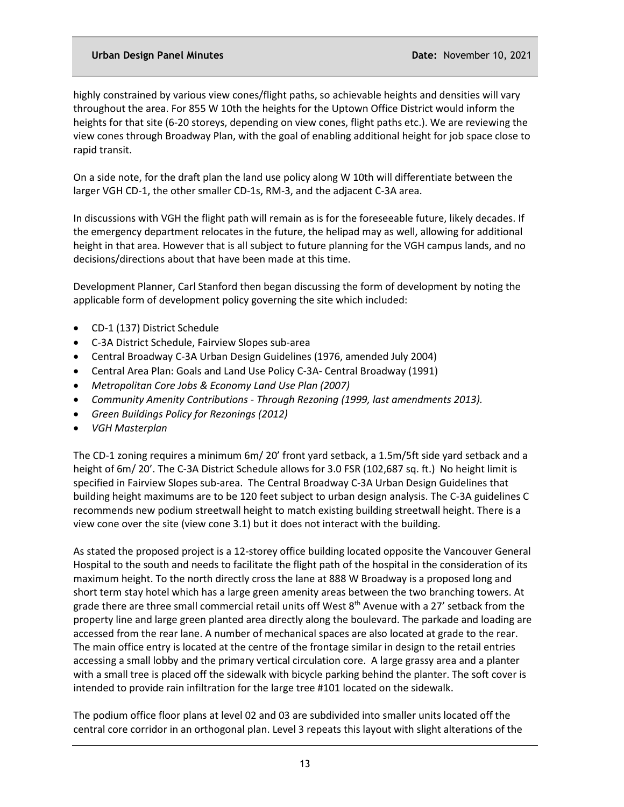highly constrained by various view cones/flight paths, so achievable heights and densities will vary throughout the area. For 855 W 10th the heights for the Uptown Office District would inform the heights for that site (6-20 storeys, depending on view cones, flight paths etc.). We are reviewing the view cones through Broadway Plan, with the goal of enabling additional height for job space close to rapid transit.

On a side note, for the draft plan the land use policy along W 10th will differentiate between the larger VGH CD-1, the other smaller CD-1s, RM-3, and the adjacent C-3A area.

In discussions with VGH the flight path will remain as is for the foreseeable future, likely decades. If the emergency department relocates in the future, the helipad may as well, allowing for additional height in that area. However that is all subject to future planning for the VGH campus lands, and no decisions/directions about that have been made at this time.

Development Planner, Carl Stanford then began discussing the form of development by noting the applicable form of development policy governing the site which included:

- CD-1 (137) District Schedule
- C-3A District Schedule, Fairview Slopes sub-area
- Central Broadway C-3A Urban Design Guidelines (1976, amended July 2004)
- Central Area Plan: Goals and Land Use Policy C-3A- Central Broadway (1991)
- *Metropolitan Core Jobs & Economy Land Use Plan (2007)*
- *Community Amenity Contributions - Through Rezoning (1999, last amendments 2013).*
- *Green Buildings Policy for Rezonings (2012)*
- *VGH Masterplan*

The CD-1 zoning requires a minimum 6m/ 20' front yard setback, a 1.5m/5ft side yard setback and a height of 6m/ 20'. The C-3A District Schedule allows for 3.0 FSR (102,687 sq. ft.) No height limit is specified in Fairview Slopes sub-area. The Central Broadway C-3A Urban Design Guidelines that building height maximums are to be 120 feet subject to urban design analysis. The C-3A guidelines C recommends new podium streetwall height to match existing building streetwall height. There is a view cone over the site (view cone 3.1) but it does not interact with the building.

As stated the proposed project is a 12-storey office building located opposite the Vancouver General Hospital to the south and needs to facilitate the flight path of the hospital in the consideration of its maximum height. To the north directly cross the lane at 888 W Broadway is a proposed long and short term stay hotel which has a large green amenity areas between the two branching towers. At grade there are three small commercial retail units off West  $8<sup>th</sup>$  Avenue with a 27' setback from the property line and large green planted area directly along the boulevard. The parkade and loading are accessed from the rear lane. A number of mechanical spaces are also located at grade to the rear. The main office entry is located at the centre of the frontage similar in design to the retail entries accessing a small lobby and the primary vertical circulation core. A large grassy area and a planter with a small tree is placed off the sidewalk with bicycle parking behind the planter. The soft cover is intended to provide rain infiltration for the large tree #101 located on the sidewalk.

The podium office floor plans at level 02 and 03 are subdivided into smaller units located off the central core corridor in an orthogonal plan. Level 3 repeats this layout with slight alterations of the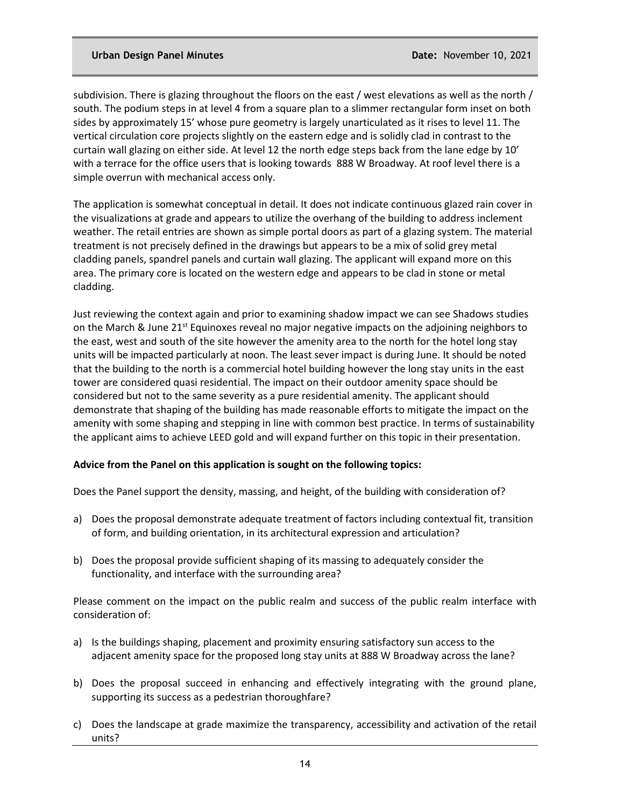subdivision. There is glazing throughout the floors on the east / west elevations as well as the north / south. The podium steps in at level 4 from a square plan to a slimmer rectangular form inset on both sides by approximately 15' whose pure geometry is largely unarticulated as it rises to level 11. The vertical circulation core projects slightly on the eastern edge and is solidly clad in contrast to the curtain wall glazing on either side. At level 12 the north edge steps back from the lane edge by 10' with a terrace for the office users that is looking towards 888 W Broadway. At roof level there is a simple overrun with mechanical access only.

The application is somewhat conceptual in detail. It does not indicate continuous glazed rain cover in the visualizations at grade and appears to utilize the overhang of the building to address inclement weather. The retail entries are shown as simple portal doors as part of a glazing system. The material treatment is not precisely defined in the drawings but appears to be a mix of solid grey metal cladding panels, spandrel panels and curtain wall glazing. The applicant will expand more on this area. The primary core is located on the western edge and appears to be clad in stone or metal cladding.

Just reviewing the context again and prior to examining shadow impact we can see Shadows studies on the March & June 21<sup>st</sup> Equinoxes reveal no major negative impacts on the adjoining neighbors to the east, west and south of the site however the amenity area to the north for the hotel long stay units will be impacted particularly at noon. The least sever impact is during June. It should be noted that the building to the north is a commercial hotel building however the long stay units in the east tower are considered quasi residential. The impact on their outdoor amenity space should be considered but not to the same severity as a pure residential amenity. The applicant should demonstrate that shaping of the building has made reasonable efforts to mitigate the impact on the amenity with some shaping and stepping in line with common best practice. In terms of sustainability the applicant aims to achieve LEED gold and will expand further on this topic in their presentation.

## **Advice from the Panel on this application is sought on the following topics:**

Does the Panel support the density, massing, and height, of the building with consideration of?

- a) Does the proposal demonstrate adequate treatment of factors including contextual fit, transition of form, and building orientation, in its architectural expression and articulation?
- b) Does the proposal provide sufficient shaping of its massing to adequately consider the functionality, and interface with the surrounding area?

Please comment on the impact on the public realm and success of the public realm interface with consideration of:

- a) Is the buildings shaping, placement and proximity ensuring satisfactory sun access to the adjacent amenity space for the proposed long stay units at 888 W Broadway across the lane?
- b) Does the proposal succeed in enhancing and effectively integrating with the ground plane, supporting its success as a pedestrian thoroughfare?
- c) Does the landscape at grade maximize the transparency, accessibility and activation of the retail units?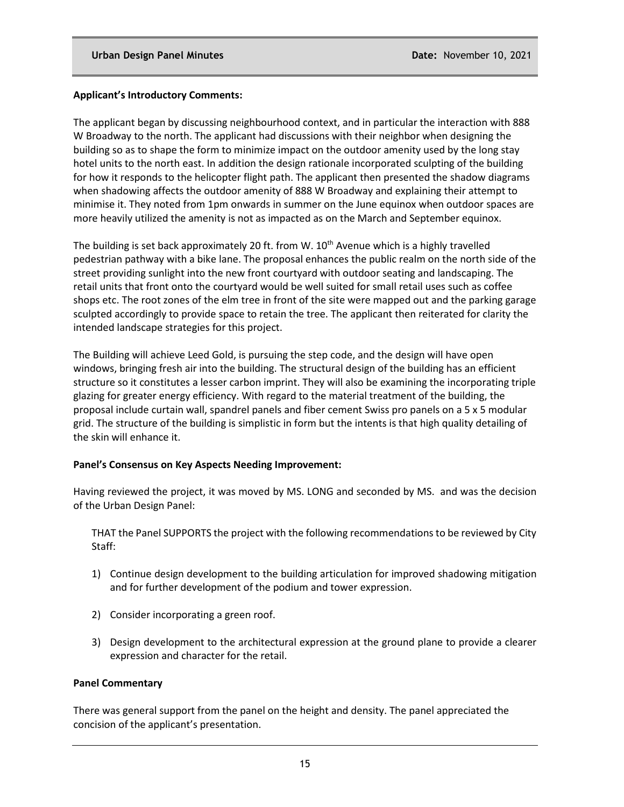# **Applicant's Introductory Comments:**

The applicant began by discussing neighbourhood context, and in particular the interaction with 888 W Broadway to the north. The applicant had discussions with their neighbor when designing the building so as to shape the form to minimize impact on the outdoor amenity used by the long stay hotel units to the north east. In addition the design rationale incorporated sculpting of the building for how it responds to the helicopter flight path. The applicant then presented the shadow diagrams when shadowing affects the outdoor amenity of 888 W Broadway and explaining their attempt to minimise it. They noted from 1pm onwards in summer on the June equinox when outdoor spaces are more heavily utilized the amenity is not as impacted as on the March and September equinox.

The building is set back approximately 20 ft. from W.  $10<sup>th</sup>$  Avenue which is a highly travelled pedestrian pathway with a bike lane. The proposal enhances the public realm on the north side of the street providing sunlight into the new front courtyard with outdoor seating and landscaping. The retail units that front onto the courtyard would be well suited for small retail uses such as coffee shops etc. The root zones of the elm tree in front of the site were mapped out and the parking garage sculpted accordingly to provide space to retain the tree. The applicant then reiterated for clarity the intended landscape strategies for this project.

The Building will achieve Leed Gold, is pursuing the step code, and the design will have open windows, bringing fresh air into the building. The structural design of the building has an efficient structure so it constitutes a lesser carbon imprint. They will also be examining the incorporating triple glazing for greater energy efficiency. With regard to the material treatment of the building, the proposal include curtain wall, spandrel panels and fiber cement Swiss pro panels on a 5 x 5 modular grid. The structure of the building is simplistic in form but the intents is that high quality detailing of the skin will enhance it.

## **Panel's Consensus on Key Aspects Needing Improvement:**

Having reviewed the project, it was moved by MS. LONG and seconded by MS. and was the decision of the Urban Design Panel:

THAT the Panel SUPPORTS the project with the following recommendations to be reviewed by City Staff:

- 1) Continue design development to the building articulation for improved shadowing mitigation and for further development of the podium and tower expression.
- 2) Consider incorporating a green roof.
- 3) Design development to the architectural expression at the ground plane to provide a clearer expression and character for the retail.

## **Panel Commentary**

There was general support from the panel on the height and density. The panel appreciated the concision of the applicant's presentation.